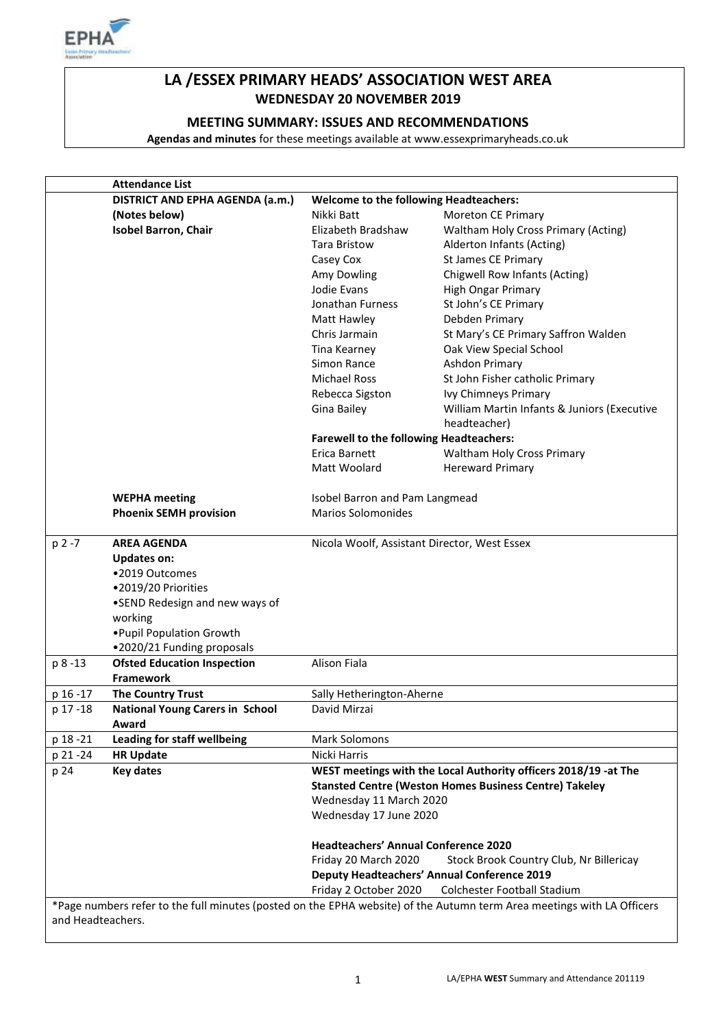

# **LA /ESSEX PRIMARY HEADS' ASSOCIATION WEST AREA WEDNESDAY 20 NOVEMBER 2019**

# **MEETING SUMMARY: ISSUES AND RECOMMENDATIONS**

**Agendas and minutes** for these meetings available at www.essexprimaryheads.co.uk

|                   | <b>Attendance List</b>                                                    |                                                                                          |                                                                                                                        |  |
|-------------------|---------------------------------------------------------------------------|------------------------------------------------------------------------------------------|------------------------------------------------------------------------------------------------------------------------|--|
|                   | DISTRICT AND EPHA AGENDA (a.m.)<br>Welcome to the following Headteachers: |                                                                                          |                                                                                                                        |  |
|                   | (Notes below)                                                             | Nikki Batt                                                                               | Moreton CE Primary                                                                                                     |  |
|                   | <b>Isobel Barron, Chair</b>                                               | Elizabeth Bradshaw                                                                       | Waltham Holy Cross Primary (Acting)                                                                                    |  |
|                   |                                                                           | Tara Bristow                                                                             | Alderton Infants (Acting)                                                                                              |  |
|                   |                                                                           | Casey Cox                                                                                | <b>St James CE Primary</b>                                                                                             |  |
|                   |                                                                           | Amy Dowling                                                                              | Chigwell Row Infants (Acting)                                                                                          |  |
|                   |                                                                           | Jodie Evans                                                                              | High Ongar Primary                                                                                                     |  |
|                   |                                                                           | Jonathan Furness                                                                         | St John's CE Primary                                                                                                   |  |
|                   |                                                                           | Matt Hawley                                                                              | Debden Primary                                                                                                         |  |
|                   |                                                                           | Chris Jarmain                                                                            | St Mary's CE Primary Saffron Walden                                                                                    |  |
|                   |                                                                           | Tina Kearney                                                                             | Oak View Special School                                                                                                |  |
|                   |                                                                           | Simon Rance                                                                              | Ashdon Primary                                                                                                         |  |
|                   |                                                                           | <b>Michael Ross</b>                                                                      | St John Fisher catholic Primary                                                                                        |  |
|                   |                                                                           | Rebecca Sigston                                                                          | Ivy Chimneys Primary                                                                                                   |  |
|                   |                                                                           | Gina Bailey                                                                              | William Martin Infants & Juniors (Executive                                                                            |  |
|                   |                                                                           |                                                                                          | headteacher)                                                                                                           |  |
|                   |                                                                           | <b>Farewell to the following Headteachers:</b>                                           |                                                                                                                        |  |
|                   |                                                                           | Erica Barnett                                                                            | <b>Waltham Holy Cross Primary</b>                                                                                      |  |
|                   |                                                                           | Matt Woolard                                                                             | <b>Hereward Primary</b>                                                                                                |  |
|                   |                                                                           |                                                                                          |                                                                                                                        |  |
|                   | <b>WEPHA</b> meeting                                                      | Isobel Barron and Pam Langmead                                                           |                                                                                                                        |  |
|                   | <b>Phoenix SEMH provision</b>                                             | <b>Marios Solomonides</b>                                                                |                                                                                                                        |  |
|                   |                                                                           |                                                                                          |                                                                                                                        |  |
| p 2 -7            | <b>AREA AGENDA</b>                                                        | Nicola Woolf, Assistant Director, West Essex                                             |                                                                                                                        |  |
|                   | <b>Updates on:</b>                                                        |                                                                                          |                                                                                                                        |  |
|                   | •2019 Outcomes                                                            |                                                                                          |                                                                                                                        |  |
|                   | •2019/20 Priorities                                                       |                                                                                          |                                                                                                                        |  |
|                   | •SEND Redesign and new ways of                                            |                                                                                          |                                                                                                                        |  |
|                   | working                                                                   |                                                                                          |                                                                                                                        |  |
|                   | . Pupil Population Growth                                                 |                                                                                          |                                                                                                                        |  |
|                   | .2020/21 Funding proposals                                                |                                                                                          |                                                                                                                        |  |
| p 8 -13           | <b>Ofsted Education Inspection</b>                                        | <b>Alison Fiala</b>                                                                      |                                                                                                                        |  |
|                   | <b>Framework</b>                                                          |                                                                                          |                                                                                                                        |  |
| p 16 - 17         | <b>The Country Trust</b>                                                  | Sally Hetherington-Aherne                                                                |                                                                                                                        |  |
| p 17 - 18         | <b>National Young Carers in School</b>                                    | David Mirzai                                                                             |                                                                                                                        |  |
|                   | Award                                                                     |                                                                                          |                                                                                                                        |  |
| p 18 - 21         | <b>Leading for staff wellbeing</b>                                        | <b>Mark Solomons</b>                                                                     |                                                                                                                        |  |
| p 21 - 24         | <b>HR Update</b>                                                          | Nicki Harris                                                                             |                                                                                                                        |  |
| p 24              | <b>Key dates</b>                                                          | WEST meetings with the Local Authority officers 2018/19 -at The                          |                                                                                                                        |  |
|                   |                                                                           | <b>Stansted Centre (Weston Homes Business Centre) Takeley</b><br>Wednesday 11 March 2020 |                                                                                                                        |  |
|                   |                                                                           |                                                                                          |                                                                                                                        |  |
|                   |                                                                           | Wednesday 17 June 2020                                                                   |                                                                                                                        |  |
|                   |                                                                           |                                                                                          |                                                                                                                        |  |
|                   |                                                                           | <b>Headteachers' Annual Conference 2020</b>                                              |                                                                                                                        |  |
|                   |                                                                           | Friday 20 March 2020                                                                     | Stock Brook Country Club, Nr Billericay                                                                                |  |
|                   |                                                                           |                                                                                          | <b>Deputy Headteachers' Annual Conference 2019</b>                                                                     |  |
|                   |                                                                           | Friday 2 October 2020                                                                    | Colchester Football Stadium                                                                                            |  |
|                   |                                                                           |                                                                                          | *Page numbers refer to the full minutes (posted on the EPHA website) of the Autumn term Area meetings with LA Officers |  |
| and Headteachers. |                                                                           |                                                                                          |                                                                                                                        |  |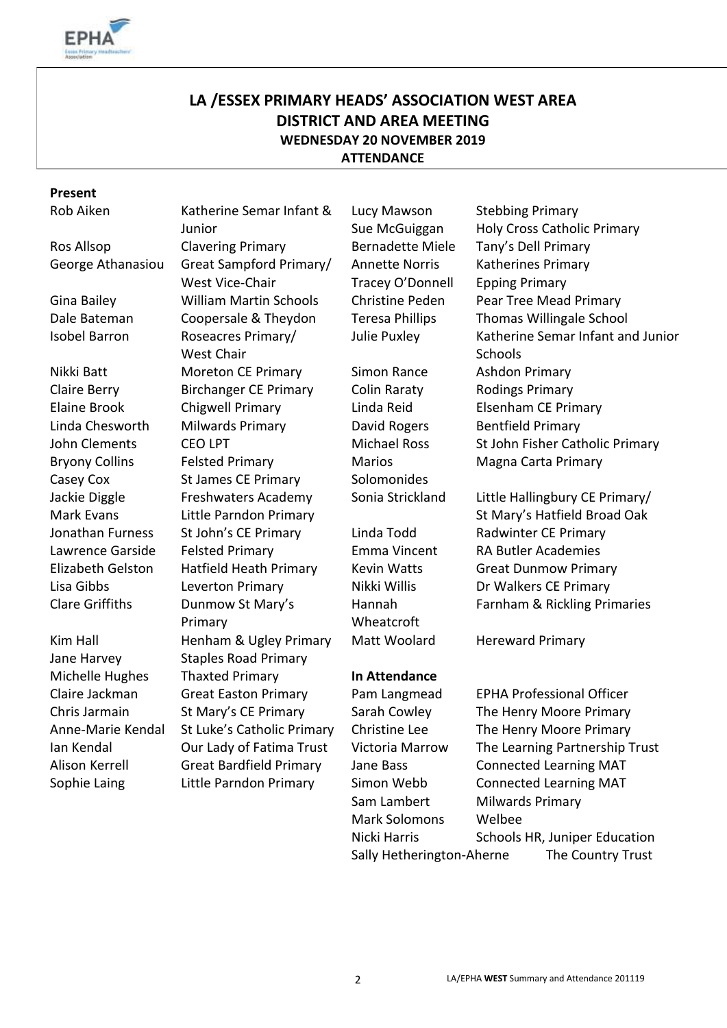

# **LA /ESSEX PRIMARY HEADS' ASSOCIATION WEST AREA DISTRICT AND AREA MEETING WEDNESDAY 20 NOVEMBER 2019 ATTENDANCE**

# **Present**

Rob Aiken Katherine Semar Infant &

- 
- 

Bryony Collins Casey Cox Jackie Diggle Mark Evans

Junior Ros Allsop Clavering Primary Bernadette Miele Tany's Dell Primary George Athanasiou Great Sampford Primary/ West Vice-Chair Gina Bailey William Martin Schools Christine Peden Pear Tree Mead Primary Dale Bateman Coopersale & Theydon Teresa Phillips Thomas Willingale School Isobel Barron Roseacres Primary/ West Chair Nikki Batt Moreton CE Primary Simon Rance Ashdon Primary Claire Berry **Birchanger CE Primary** Colin Raraty Rodings Primary Elaine Brook Chigwell Primary Linda Reid Elsenham CE Primary Linda Chesworth Milwards Primary **David Rogers** Bentfield Primary Felsted Primary St James CE Primary Freshwaters Academy Little Parndon Primary Jonathan Furness St John's CE Primary Linda Todd Radwinter CE Primary Lawrence Garside Felsted Primary Emma Vincent RA Butler Academies Elizabeth Gelston Hatfield Heath Primary Kevin Watts Great Dunmow Primary Lisa Gibbs Leverton Primary Nikki Willis Dr Walkers CE Primary Clare Griffiths Dunmow St Mary's Primary Kim Hall **Henham & Ugley Primary** Matt Woolard Hereward Primary Jane Harvey Staples Road Primary Michelle Hughes Thaxted Primary **In Attendance** Claire Jackman Great Easton Primary Pam Langmead EPHA Professional Officer Alison Kerrell Great Bardfield Primary Jane Bass Connected Learning MAT

Lucy Mawson Sue McGuiggan Annette Norris Tracey O'Donnell

Marios Solomonides

Hannah Wheatcroft

Mark Solomons Welbee

Stebbing Primary Holy Cross Catholic Primary Katherines Primary Epping Primary Julie Puxley Katherine Semar Infant and Junior **Schools** John Clements CEO LPT Michael Ross St John Fisher Catholic Primary Magna Carta Primary

> Sonia Strickland Little Hallingbury CE Primary/ St Mary's Hatfield Broad Oak Farnham & Rickling Primaries

Chris Jarmain St Mary's CE Primary Sarah Cowley The Henry Moore Primary Anne-Marie Kendal St Luke's Catholic Primary Christine Lee The Henry Moore Primary Ian Kendal Our Lady of Fatima Trust Victoria Marrow The Learning Partnership Trust Sophie Laing Thittle Parndon Primary Theory Connected Learning MAT Sam Lambert Milwards Primary Nicki Harris Schools HR, Juniper Education Sally Hetherington-Aherne The Country Trust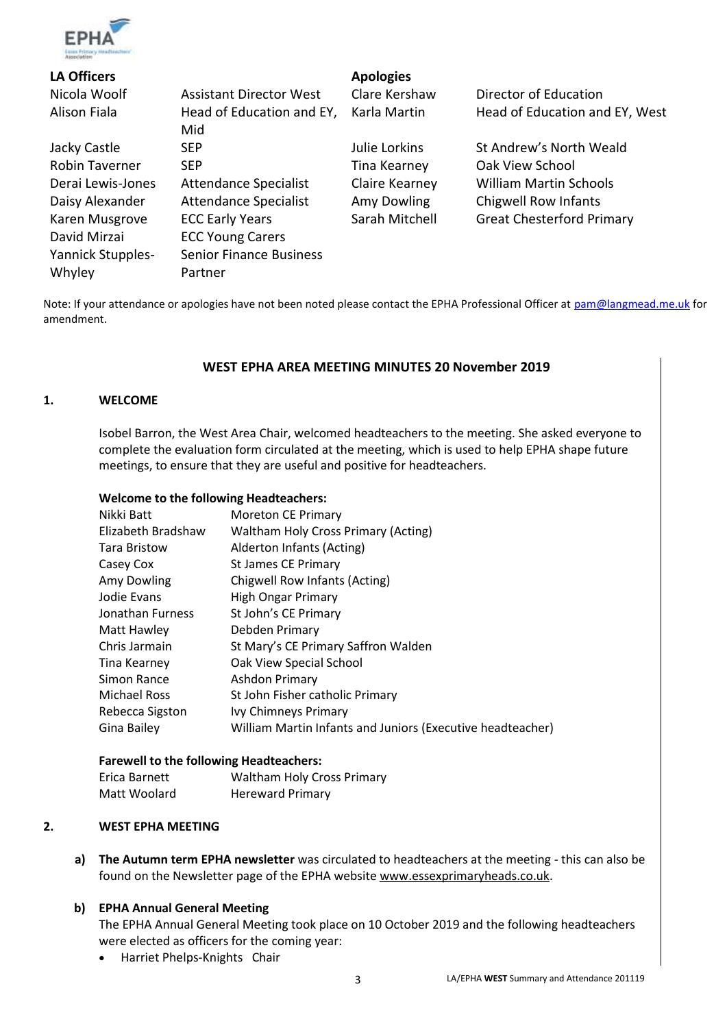

| <b>LA Officers</b>       |                                | <b>Apologies</b> |                                  |
|--------------------------|--------------------------------|------------------|----------------------------------|
| Nicola Woolf             | <b>Assistant Director West</b> | Clare Kershaw    | Director of Education            |
| Alison Fiala             | Head of Education and EY,      | Karla Martin     | Head of Education and EY, West   |
|                          | Mid                            |                  |                                  |
| Jacky Castle             | <b>SEP</b>                     | Julie Lorkins    | St Andrew's North Weald          |
| <b>Robin Taverner</b>    | <b>SEP</b>                     | Tina Kearney     | Oak View School                  |
| Derai Lewis-Jones        | <b>Attendance Specialist</b>   | Claire Kearney   | <b>William Martin Schools</b>    |
| Daisy Alexander          | <b>Attendance Specialist</b>   | Amy Dowling      | Chigwell Row Infants             |
| Karen Musgrove           | <b>ECC Early Years</b>         | Sarah Mitchell   | <b>Great Chesterford Primary</b> |
| David Mirzai             | <b>ECC Young Carers</b>        |                  |                                  |
| <b>Yannick Stupples-</b> | <b>Senior Finance Business</b> |                  |                                  |
| Whyley                   | Partner                        |                  |                                  |

Note: If your attendance or apologies have not been noted please contact the EPHA Professional Officer at [pam@langmead.me.uk](mailto:pam@langmead.me.uk) for amendment.

#### **WEST EPHA AREA MEETING MINUTES 20 November 2019**

#### **1. WELCOME**

Isobel Barron, the West Area Chair, welcomed headteachers to the meeting. She asked everyone to complete the evaluation form circulated at the meeting, which is used to help EPHA shape future meetings, to ensure that they are useful and positive for headteachers.

#### **Welcome to the following Headteachers:**

| Nikki Batt          | <b>Moreton CE Primary</b>                                  |
|---------------------|------------------------------------------------------------|
| Elizabeth Bradshaw  | <b>Waltham Holy Cross Primary (Acting)</b>                 |
| <b>Tara Bristow</b> | Alderton Infants (Acting)                                  |
| Casey Cox           | St James CE Primary                                        |
| Amy Dowling         | Chigwell Row Infants (Acting)                              |
| Jodie Evans         | <b>High Ongar Primary</b>                                  |
| Jonathan Furness    | St John's CE Primary                                       |
| Matt Hawley         | Debden Primary                                             |
| Chris Jarmain       | St Mary's CE Primary Saffron Walden                        |
| Tina Kearney        | Oak View Special School                                    |
| Simon Rance         | Ashdon Primary                                             |
| <b>Michael Ross</b> | St John Fisher catholic Primary                            |
| Rebecca Sigston     | Ivy Chimneys Primary                                       |
| Gina Bailey         | William Martin Infants and Juniors (Executive headteacher) |

#### **Farewell to the following Headteachers:**

| Erica Barnett | <b>Waltham Holy Cross Primary</b> |
|---------------|-----------------------------------|
| Matt Woolard  | <b>Hereward Primary</b>           |

#### **2. WEST EPHA MEETING**

**a) The Autumn term EPHA newsletter** was circulated to headteachers at the meeting - this can also be found on the Newsletter page of the EPHA website [www.essexprimaryheads.co.uk.](http://www.essexprimaryheads.co.uk/)

#### **b) EPHA Annual General Meeting**

The EPHA Annual General Meeting took place on 10 October 2019 and the following headteachers were elected as officers for the coming year:

• Harriet Phelps-Knights Chair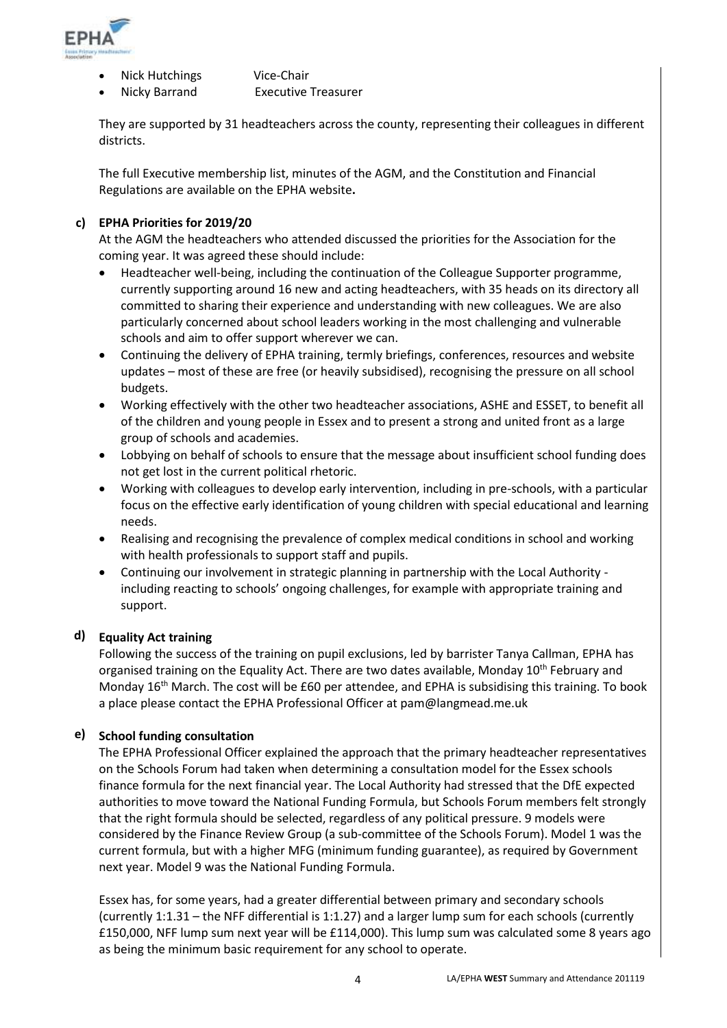

- Nick Hutchings Vice-Chair
	- Nicky Barrand Executive Treasurer

They are supported by 31 headteachers across the county, representing their colleagues in different districts.

The full Executive membership list, minutes of the AGM, and the Constitution and Financial Regulations are available on the EPHA website**.** 

# **c) EPHA Priorities for 2019/20**

At the AGM the headteachers who attended discussed the priorities for the Association for the coming year. It was agreed these should include:

- Headteacher well-being, including the continuation of the Colleague Supporter programme, currently supporting around 16 new and acting headteachers, with 35 heads on its directory all committed to sharing their experience and understanding with new colleagues. We are also particularly concerned about school leaders working in the most challenging and vulnerable schools and aim to offer support wherever we can.
- Continuing the delivery of EPHA training, termly briefings, conferences, resources and website updates – most of these are free (or heavily subsidised), recognising the pressure on all school budgets.
- Working effectively with the other two headteacher associations, ASHE and ESSET, to benefit all of the children and young people in Essex and to present a strong and united front as a large group of schools and academies.
- Lobbying on behalf of schools to ensure that the message about insufficient school funding does not get lost in the current political rhetoric.
- Working with colleagues to develop early intervention, including in pre-schools, with a particular focus on the effective early identification of young children with special educational and learning needs.
- Realising and recognising the prevalence of complex medical conditions in school and working with health professionals to support staff and pupils.
- Continuing our involvement in strategic planning in partnership with the Local Authority including reacting to schools' ongoing challenges, for example with appropriate training and support.

# **d) Equality Act training**

Following the success of the training on pupil exclusions, led by barrister Tanya Callman, EPHA has organised training on the Equality Act. There are two dates available, Monday 10<sup>th</sup> February and Monday 16<sup>th</sup> March. The cost will be £60 per attendee, and EPHA is subsidising this training. To book a place please contact the EPHA Professional Officer at pam@langmead.me.uk

# **e) School funding consultation**

The EPHA Professional Officer explained the approach that the primary headteacher representatives on the Schools Forum had taken when determining a consultation model for the Essex schools finance formula for the next financial year. The Local Authority had stressed that the DfE expected authorities to move toward the National Funding Formula, but Schools Forum members felt strongly that the right formula should be selected, regardless of any political pressure. 9 models were considered by the Finance Review Group (a sub-committee of the Schools Forum). Model 1 was the current formula, but with a higher MFG (minimum funding guarantee), as required by Government next year. Model 9 was the National Funding Formula.

Essex has, for some years, had a greater differential between primary and secondary schools (currently 1:1.31 – the NFF differential is 1:1.27) and a larger lump sum for each schools (currently £150,000, NFF lump sum next year will be £114,000). This lump sum was calculated some 8 years ago as being the minimum basic requirement for any school to operate.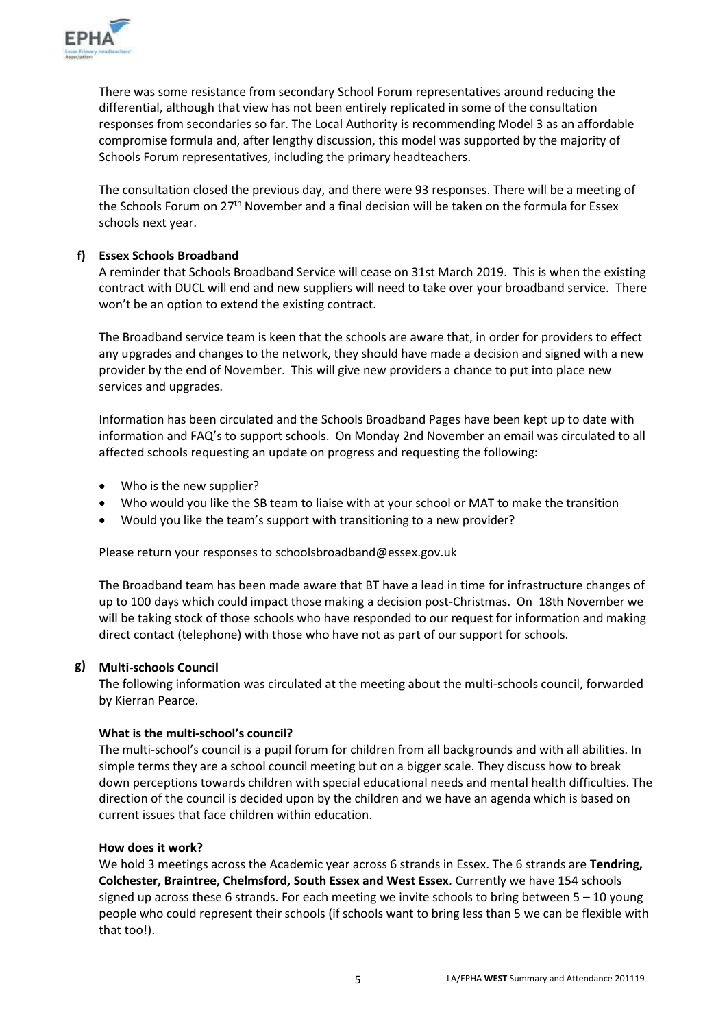

There was some resistance from secondary School Forum representatives around reducing the differential, although that view has not been entirely replicated in some of the consultation responses from secondaries so far. The Local Authority is recommending Model 3 as an affordable compromise formula and, after lengthy discussion, this model was supported by the majority of Schools Forum representatives, including the primary headteachers.

The consultation closed the previous day, and there were 93 responses. There will be a meeting of the Schools Forum on 27<sup>th</sup> November and a final decision will be taken on the formula for Essex schools next year.

# **f) Essex Schools Broadband**

A reminder that Schools Broadband Service will cease on 31st March 2019. This is when the existing contract with DUCL will end and new suppliers will need to take over your broadband service. There won't be an option to extend the existing contract.

The Broadband service team is keen that the schools are aware that, in order for providers to effect any upgrades and changes to the network, they should have made a decision and signed with a new provider by the end of November. This will give new providers a chance to put into place new services and upgrades.

Information has been circulated and the [Schools Broadband Pages](https://eur02.safelinks.protection.outlook.com/?url=https%3A%2F%2Fschools.essex.gov.uk%2Fadmin%2FBroadband%2FPages%2FBroadband.aspx&data=02%7C01%7C%7C75458fae09d34e13cdcf08d763913b54%7Ca8b4324f155c4215a0f17ed8cc9a992f%7C0%7C0%7C637087348365431782&sdata=YSYlUWeu5nc4TD%2BKZPjR%2Bzzm5wj0j26qppUaPNjFOlU%3D&reserved=0) have been kept up to date with information and FAQ's to support schools. On Monday 2nd November an email was circulated to all affected schools requesting an update on progress and requesting the following:

- Who is the new supplier?
- Who would you like the SB team to liaise with at your school or MAT to make the transition
- Would you like the team's support with transitioning to a new provider?

Please return your responses to [schoolsbroadband@essex.gov.uk](mailto:schoolsbroadband@essex.gov.uk)

The Broadband team has been made aware that BT have a lead in time for infrastructure changes of up to 100 days which could impact those making a decision post-Christmas. On 18th November we will be taking stock of those schools who have responded to our request for information and making direct contact (telephone) with those who have not as part of our support for schools.

#### **g) Multi-schools Council**

The following information was circulated at the meeting about the multi-schools council, forwarded by Kierran Pearce.

#### **What is the multi-school's council?**

The multi-school's council is a pupil forum for children from all backgrounds and with all abilities. In simple terms they are a school council meeting but on a bigger scale. They discuss how to break down perceptions towards children with special educational needs and mental health difficulties. The direction of the council is decided upon by the children and we have an agenda which is based on current issues that face children within education.

#### **How does it work?**

We hold 3 meetings across the Academic year across 6 strands in Essex. The 6 strands are **Tendring, Colchester, Braintree, Chelmsford, South Essex and West Essex**. Currently we have 154 schools signed up across these 6 strands. For each meeting we invite schools to bring between  $5 - 10$  young people who could represent their schools (if schools want to bring less than 5 we can be flexible with that too!).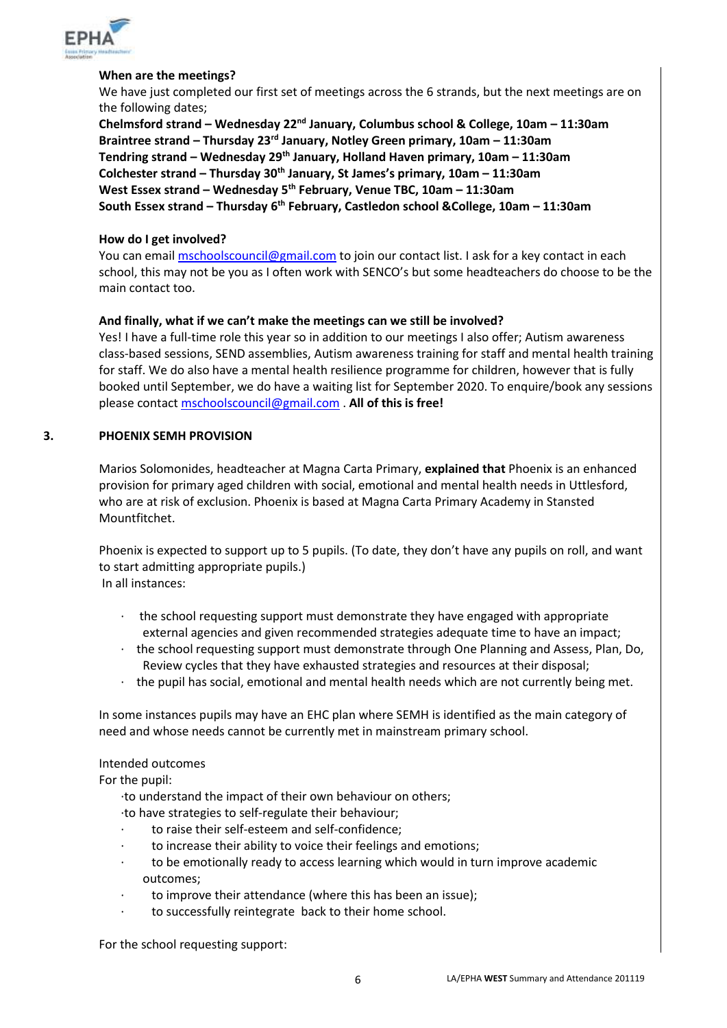

#### **When are the meetings?**

We have just completed our first set of meetings across the 6 strands, but the next meetings are on the following dates;

**Chelmsford strand – Wednesday 22nd January, Columbus school & College, 10am – 11:30am Braintree strand – Thursday 23rd January, Notley Green primary, 10am – 11:30am Tendring strand – Wednesday 29th January, Holland Haven primary, 10am – 11:30am Colchester strand – Thursday 30th January, St James's primary, 10am – 11:30am West Essex strand – Wednesday 5th February, Venue TBC, 10am – 11:30am South Essex strand – Thursday 6th February, Castledon school &College, 10am – 11:30am**

#### **How do I get involved?**

You can emai[l mschoolscouncil@gmail.com](mailto:mschoolscouncil@gmail.com) to join our contact list. I ask for a key contact in each school, this may not be you as I often work with SENCO's but some headteachers do choose to be the main contact too.

#### **And finally, what if we can't make the meetings can we still be involved?**

Yes! I have a full-time role this year so in addition to our meetings I also offer; Autism awareness class-based sessions, SEND assemblies, Autism awareness training for staff and mental health training for staff. We do also have a mental health resilience programme for children, however that is fully booked until September, we do have a waiting list for September 2020. To enquire/book any sessions please contact [mschoolscouncil@gmail.com](mailto:mschoolscouncil@gmail.com) . **All of this is free!**

#### **3. PHOENIX SEMH PROVISION**

Marios Solomonides, headteacher at Magna Carta Primary, **explained that** Phoenix is an enhanced provision for primary aged children with social, emotional and mental health needs in Uttlesford, who are at risk of exclusion. Phoenix is based at Magna Carta Primary Academy in Stansted Mountfitchet.

Phoenix is expected to support up to 5 pupils. (To date, they don't have any pupils on roll, and want to start admitting appropriate pupils.) In all instances:

- · the school requesting support must demonstrate they have engaged with appropriate external agencies and given recommended strategies adequate time to have an impact;
- · the school requesting support must demonstrate through One Planning and Assess, Plan, Do, Review cycles that they have exhausted strategies and resources at their disposal;
- · the pupil has social, emotional and mental health needs which are not currently being met.

In some instances pupils may have an EHC plan where SEMH is identified as the main category of need and whose needs cannot be currently met in mainstream primary school.

#### Intended outcomes

For the pupil:

·to understand the impact of their own behaviour on others;

·to have strategies to self-regulate their behaviour;

- · to raise their self-esteem and self-confidence;
- to increase their ability to voice their feelings and emotions;
- to be emotionally ready to access learning which would in turn improve academic outcomes;
- to improve their attendance (where this has been an issue);
- to successfully reintegrate back to their home school.

For the school requesting support: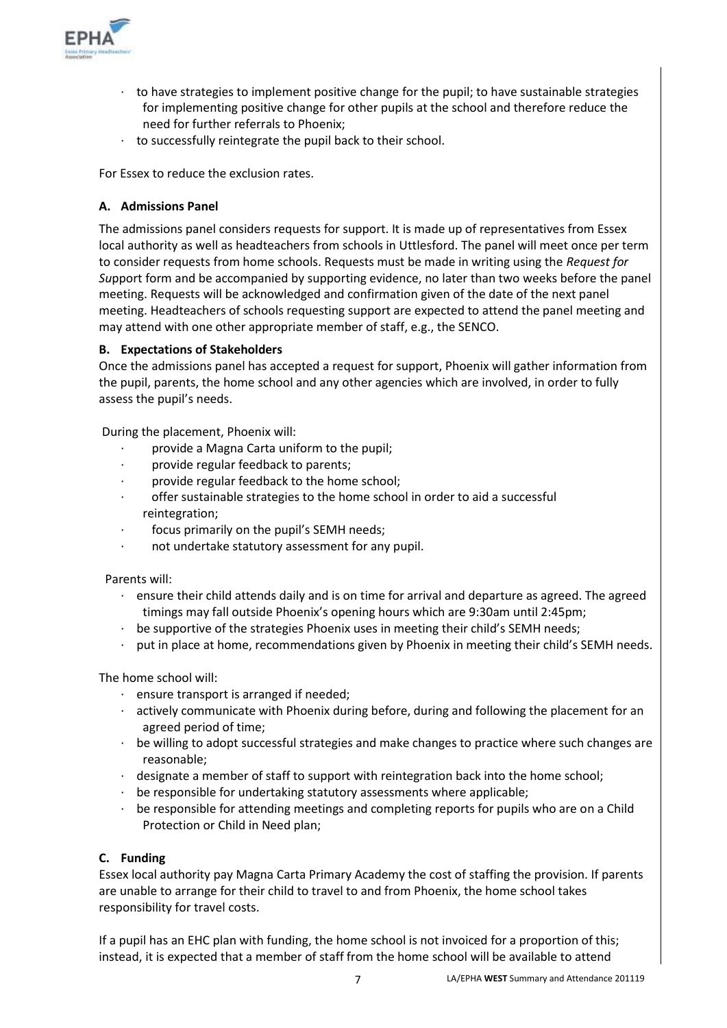

- · to have strategies to implement positive change for the pupil; to have sustainable strategies for implementing positive change for other pupils at the school and therefore reduce the need for further referrals to Phoenix;
- · to successfully reintegrate the pupil back to their school.

For Essex to reduce the exclusion rates.

#### **A. Admissions Panel**

The admissions panel considers requests for support. It is made up of representatives from Essex local authority as well as headteachers from schools in Uttlesford. The panel will meet once per term to consider requests from home schools. Requests must be made in writing using the *Request for Su*pport form and be accompanied by supporting evidence, no later than two weeks before the panel meeting. Requests will be acknowledged and confirmation given of the date of the next panel meeting. Headteachers of schools requesting support are expected to attend the panel meeting and may attend with one other appropriate member of staff, e.g., the SENCO.

#### **B. Expectations of Stakeholders**

Once the admissions panel has accepted a request for support, Phoenix will gather information from the pupil, parents, the home school and any other agencies which are involved, in order to fully assess the pupil's needs.

During the placement, Phoenix will:

- · provide a Magna Carta uniform to the pupil;
- provide regular feedback to parents;
- provide regular feedback to the home school;
- offer sustainable strategies to the home school in order to aid a successful reintegration;
- focus primarily on the pupil's SEMH needs;
- not undertake statutory assessment for any pupil.

Parents will:

- $\cdot$  ensure their child attends daily and is on time for arrival and departure as agreed. The agreed timings may fall outside Phoenix's opening hours which are 9:30am until 2:45pm;
- be supportive of the strategies Phoenix uses in meeting their child's SEMH needs;
- · put in place at home, recommendations given by Phoenix in meeting their child's SEMH needs.

The home school will:

- · ensure transport is arranged if needed;
- · actively communicate with Phoenix during before, during and following the placement for an agreed period of time;
- · be willing to adopt successful strategies and make changes to practice where such changes are reasonable;
- · designate a member of staff to support with reintegration back into the home school;
- be responsible for undertaking statutory assessments where applicable;
- · be responsible for attending meetings and completing reports for pupils who are on a Child Protection or Child in Need plan;

#### **C. Funding**

Essex local authority pay Magna Carta Primary Academy the cost of staffing the provision. If parents are unable to arrange for their child to travel to and from Phoenix, the home school takes responsibility for travel costs.

If a pupil has an EHC plan with funding, the home school is not invoiced for a proportion of this; instead, it is expected that a member of staff from the home school will be available to attend